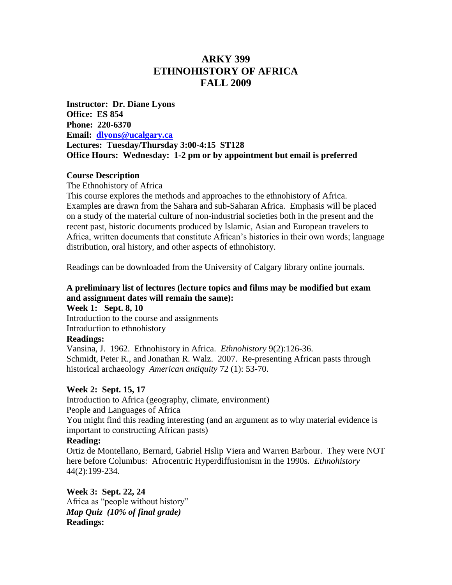# **ARKY 399 ETHNOHISTORY OF AFRICA FALL 2009**

**Instructor: Dr. Diane Lyons Office: ES 854 Phone: 220-6370 Email: [dlyons@ucalgary.ca](mailto:dlyons@ucalgary.ca) Lectures: Tuesday/Thursday 3:00-4:15 ST128 Office Hours: Wednesday: 1-2 pm or by appointment but email is preferred**

#### **Course Description**

The Ethnohistory of Africa

This course explores the methods and approaches to the ethnohistory of Africa. Examples are drawn from the Sahara and sub-Saharan Africa. Emphasis will be placed on a study of the material culture of non-industrial societies both in the present and the recent past, historic documents produced by Islamic, Asian and European travelers to Africa, written documents that constitute African"s histories in their own words; language distribution, oral history, and other aspects of ethnohistory.

Readings can be downloaded from the University of Calgary library online journals.

### **A preliminary list of lectures (lecture topics and films may be modified but exam and assignment dates will remain the same):**

**Week 1: Sept. 8, 10** Introduction to the course and assignments Introduction to ethnohistory

### **Readings:**

Vansina, J. 1962. Ethnohistory in Africa. *Ethnohistory* 9(2):126-36. Schmidt, Peter R., and Jonathan R. Walz. 2007. [Re-presenting African pasts through](http://newfirstsearch.oclc.org.ezproxy.lib.ucalgary.ca/WebZ/FSFETCH?fetchtype=fullrecord:sessionid=fsapp7-48114-fz2wzl7p-9zvyl5:entitypagenum=3:0:recno=4:resultset=1:format=FI:next=html/record.html:bad=error/badfetch.html:entitytoprecno=4:entitycurrecno=4:numrecs=1)  [historical archaeology](http://newfirstsearch.oclc.org.ezproxy.lib.ucalgary.ca/WebZ/FSFETCH?fetchtype=fullrecord:sessionid=fsapp7-48114-fz2wzl7p-9zvyl5:entitypagenum=3:0:recno=4:resultset=1:format=FI:next=html/record.html:bad=error/badfetch.html:entitytoprecno=4:entitycurrecno=4:numrecs=1) *American antiquity* 72 (1): 53-70.

#### **Week 2: Sept. 15, 17**

Introduction to Africa (geography, climate, environment) People and Languages of Africa

You might find this reading interesting (and an argument as to why material evidence is important to constructing African pasts)

### **Reading:**

Ortiz de Montellano, Bernard, Gabriel Hslip Viera and Warren Barbour. They were NOT here before Columbus: Afrocentric Hyperdiffusionism in the 1990s. *Ethnohistory* 44(2):199-234.

**Week 3: Sept. 22, 24** Africa as "people without history" *Map Quiz (10% of final grade)* **Readings:**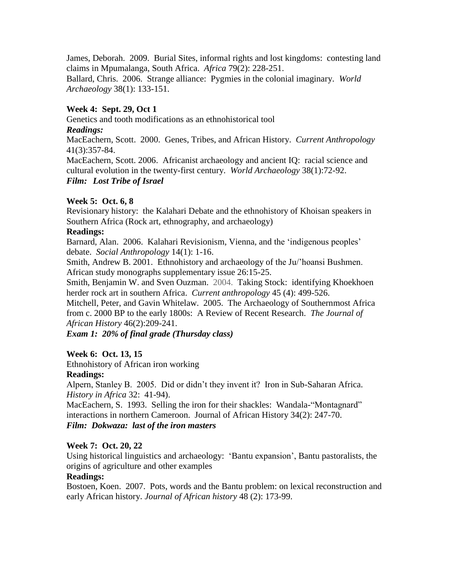James, Deborah. 2009. Burial Sites, informal rights and lost kingdoms: contesting land claims in Mpumalanga, South Africa. *Africa* 79(2): 228-251.

Ballard, Chris. 2006. Strange alliance: Pygmies in the colonial imaginary. *World Archaeology* 38(1): 133-151.

## **Week 4: Sept. 29, Oct 1**

Genetics and tooth modifications as an ethnohistorical tool *Readings:* 

MacEachern, Scott. 2000. Genes, Tribes, and African History. *Current Anthropology* 41(3):357-84.

MacEachern, Scott. 2006. Africanist archaeology and ancient IQ: racial science and cultural evolution in the twenty-first century. *World Archaeology* 38(1):72-92. *Film: Lost Tribe of Israel*

## **Week 5: Oct. 6, 8**

Revisionary history: the Kalahari Debate and the ethnohistory of Khoisan speakers in Southern Africa (Rock art, ethnography, and archaeology)

### **Readings:**

Barnard, Alan. 2006. Kalahari Revisionism, Vienna, and the "indigenous peoples" debate. *Social Anthropology* 14(1): 1-16.

Smith, Andrew B. 2001. Ethnohistory and archaeology of the Ju/"hoansi Bushmen. African study monographs supplementary issue 26:15-25.

Smith, Benjamin W. and Sven Ouzman. 2004. Taking Stock: identifying Khoekhoen herder rock art in southern Africa. *Current anthropology* 45 (4): 499-526.

Mitchell, Peter, and Gavin Whitelaw. 2005. The Archaeology of Southernmost Africa from c. 2000 BP to the early 1800s: A Review of Recent Research. *The Journal of African History* 46(2):209-241.

*Exam 1: 20% of final grade (Thursday class)*

## **Week 6: Oct. 13, 15**

Ethnohistory of African iron working

## **Readings:**

Alpern, Stanley B. 2005. Did or didn"t they invent it? Iron in Sub-Saharan Africa. *History in Africa* 32: 41-94).

MacEachern, S. 1993. Selling the iron for their shackles: Wandala-"Montagnard" interactions in northern Cameroon. Journal of African History 34(2): 247-70. *Film: Dokwaza: last of the iron masters*

### **Week 7: Oct. 20, 22**

Using historical linguistics and archaeology: "Bantu expansion", Bantu pastoralists, the origins of agriculture and other examples

### **Readings:**

Bostoen, Koen. 2007. [Pots, words and the Bantu problem: on lexical reconstruction and](http://newfirstsearch.oclc.org.ezproxy.lib.ucalgary.ca/WebZ/FSFETCH?fetchtype=fullrecord:sessionid=fsapp1-45834-fz1rkydx-drltlx:entitypagenum=5:0:recno=2:resultset=2:format=FI:next=html/record.html:bad=error/badfetch.html:entitytoprecno=2:entitycurrecno=2:numrecs=1)  [early African history](http://newfirstsearch.oclc.org.ezproxy.lib.ucalgary.ca/WebZ/FSFETCH?fetchtype=fullrecord:sessionid=fsapp1-45834-fz1rkydx-drltlx:entitypagenum=5:0:recno=2:resultset=2:format=FI:next=html/record.html:bad=error/badfetch.html:entitytoprecno=2:entitycurrecno=2:numrecs=1). *Journal of African history* 48 (2): 173-99.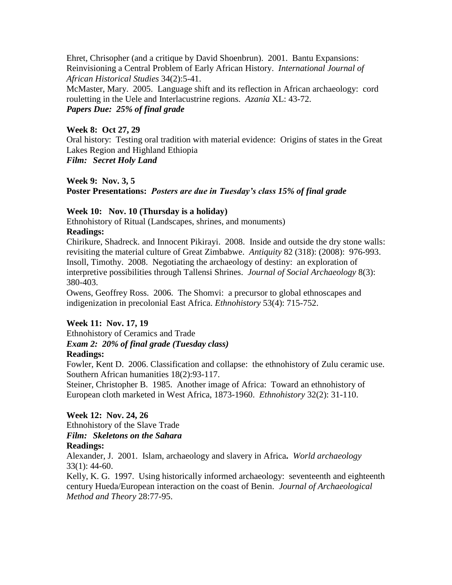Ehret, Chrisopher (and a critique by David Shoenbrun). 2001. Bantu Expansions: Reinvisioning a Central Problem of Early African History. *International Journal of African Historical Studies* 34(2):5-41.

McMaster, Mary. 2005. Language shift and its reflection in African archaeology: cord rouletting in the Uele and Interlacustrine regions. *Azania* XL: 43-72. *Papers Due: 25% of final grade*

### **Week 8: Oct 27, 29**

Oral history: Testing oral tradition with material evidence: Origins of states in the Great Lakes Region and Highland Ethiopia *Film: Secret Holy Land*

## **Week 9: Nov. 3, 5**

**Poster Presentations:** *Posters are due in Tuesday's class 15% of final grade*

## **Week 10: Nov. 10 (Thursday is a holiday)**

Ethnohistory of Ritual (Landscapes, shrines, and monuments)

### **Readings:**

Chirikure, Shadreck. and Innocent Pikirayi. 2008. Inside and outside the dry stone walls: revisiting the material culture of Great Zimbabwe. *Antiquity* 82 (318): (2008): 976-993. Insoll, Timothy. 2008. Negotiating the archaeology of destiny: an exploration of interpretive possibilities through Tallensi Shrines. *Journal of Social Archaeology* 8(3): 380-403.

Owens, Geoffrey Ross. 2006. The Shomvi: a precursor to global ethnoscapes and indigenization in precolonial East Africa. *Ethnohistory* 53(4): 715-752.

### **Week 11: Nov. 17, 19**

Ethnohistory of Ceramics and Trade *Exam 2: 20% of final grade (Tuesday class)* **Readings:** 

Fowler, Kent D. 2006. Classification and collapse: the ethnohistory of Zulu ceramic use. Southern African humanities 18(2):93-117.

Steiner, Christopher B. 1985. Another image of Africa: Toward an ethnohistory of European cloth marketed in West Africa, 1873-1960. *Ethnohistory* 32(2): 31-110.

## **Week 12: Nov. 24, 26**

Ethnohistory of the Slave Trade *Film: Skeletons on the Sahara*

### **Readings:**

Alexander, J. 2001. [Islam, archaeology and slavery in Africa](http://newfirstsearch.oclc.org.ezproxy.lib.ucalgary.ca/WebZ/FSFETCH?fetchtype=fullrecord:sessionid=fsapp5-33472-fz1uh6wv-twysa5:entitypagenum=5:0:recno=7:resultset=2:format=FI:next=html/record.html:bad=error/badfetch.html:entitytoprecno=7:entitycurrecno=7:numrecs=1)**.** *World archaeology* 33(1): 44-60.

Kelly, K. G. 1997. Using historically informed archaeology: seventeenth and eighteenth century Hueda/European interaction on the coast of Benin. *Journal of Archaeological Method and Theory* 28:77-95.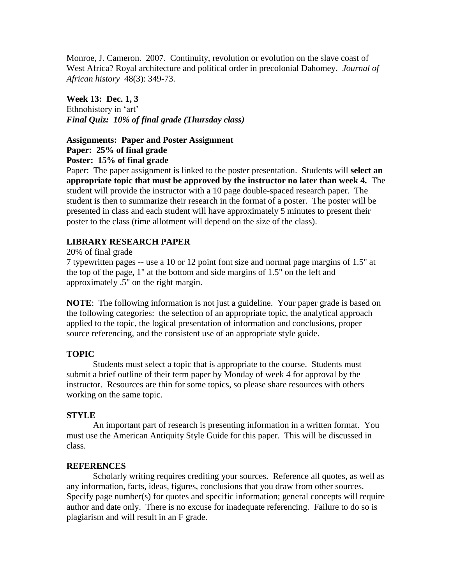Monroe, J. Cameron. 2007. [Continuity, revolution or evolution on the slave coast of](http://newfirstsearch.oclc.org.ezproxy.lib.ucalgary.ca/WebZ/FSFETCH?fetchtype=fullrecord:sessionid=fsapp5-33472-fz1uh6wv-twysa5:entitypagenum=5:0:recno=2:resultset=2:format=FI:next=html/record.html:bad=error/badfetch.html:entitytoprecno=2:entitycurrecno=2:numrecs=1)  [West Africa? Royal architecture and political order in precolonial Dahomey.](http://newfirstsearch.oclc.org.ezproxy.lib.ucalgary.ca/WebZ/FSFETCH?fetchtype=fullrecord:sessionid=fsapp5-33472-fz1uh6wv-twysa5:entitypagenum=5:0:recno=2:resultset=2:format=FI:next=html/record.html:bad=error/badfetch.html:entitytoprecno=2:entitycurrecno=2:numrecs=1) *Journal of African history* 48(3): 349-73.

**Week 13: Dec. 1, 3** Ethnohistory in 'art' *Final Quiz: 10% of final grade (Thursday class)*

### **Assignments: Paper and Poster Assignment Paper: 25% of final grade Poster: 15% of final grade**

Paper: The paper assignment is linked to the poster presentation. Students will **select an appropriate topic that must be approved by the instructor no later than week 4.** The student will provide the instructor with a 10 page double-spaced research paper. The student is then to summarize their research in the format of a poster. The poster will be presented in class and each student will have approximately 5 minutes to present their poster to the class (time allotment will depend on the size of the class).

## **LIBRARY RESEARCH PAPER**

20% of final grade

7 typewritten pages -- use a 10 or 12 point font size and normal page margins of 1.5" at the top of the page, 1" at the bottom and side margins of 1.5" on the left and approximately .5" on the right margin.

**NOTE**: The following information is not just a guideline. Your paper grade is based on the following categories: the selection of an appropriate topic, the analytical approach applied to the topic, the logical presentation of information and conclusions, proper source referencing, and the consistent use of an appropriate style guide.

## **TOPIC**

Students must select a topic that is appropriate to the course. Students must submit a brief outline of their term paper by Monday of week 4 for approval by the instructor. Resources are thin for some topics, so please share resources with others working on the same topic.

## **STYLE**

An important part of research is presenting information in a written format. You must use the American Antiquity Style Guide for this paper. This will be discussed in class.

### **REFERENCES**

Scholarly writing requires crediting your sources. Reference all quotes, as well as any information, facts, ideas, figures, conclusions that you draw from other sources. Specify page number(s) for quotes and specific information; general concepts will require author and date only. There is no excuse for inadequate referencing. Failure to do so is plagiarism and will result in an F grade.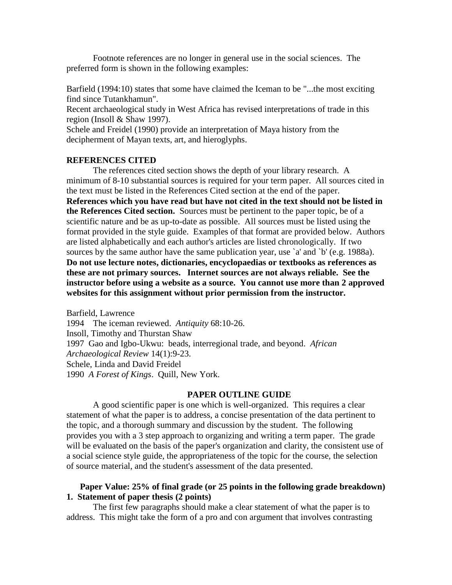Footnote references are no longer in general use in the social sciences. The preferred form is shown in the following examples:

Barfield (1994:10) states that some have claimed the Iceman to be "...the most exciting find since Tutankhamun".

Recent archaeological study in West Africa has revised interpretations of trade in this region (Insoll & Shaw 1997).

Schele and Freidel (1990) provide an interpretation of Maya history from the decipherment of Mayan texts, art, and hieroglyphs.

#### **REFERENCES CITED**

The references cited section shows the depth of your library research. A minimum of 8-10 substantial sources is required for your term paper. All sources cited in the text must be listed in the References Cited section at the end of the paper. **References which you have read but have not cited in the text should not be listed in the References Cited section.** Sources must be pertinent to the paper topic, be of a scientific nature and be as up-to-date as possible. All sources must be listed using the format provided in the style guide. Examples of that format are provided below. Authors are listed alphabetically and each author's articles are listed chronologically. If two sources by the same author have the same publication year, use `a' and `b' (e.g. 1988a). **Do not use lecture notes, dictionaries, encyclopaedias or textbooks as references as these are not primary sources. Internet sources are not always reliable. See the instructor before using a website as a source. You cannot use more than 2 approved websites for this assignment without prior permission from the instructor.**

Barfield, Lawrence 1994 The iceman reviewed. *Antiquity* 68:10-26. Insoll, Timothy and Thurstan Shaw 1997 Gao and Igbo-Ukwu: beads, interregional trade, and beyond. *African Archaeological Review* 14(1):9-23. Schele, Linda and David Freidel 1990*A Forest of Kings*. Quill, New York.

#### **PAPER OUTLINE GUIDE**

A good scientific paper is one which is well-organized. This requires a clear statement of what the paper is to address, a concise presentation of the data pertinent to the topic, and a thorough summary and discussion by the student. The following provides you with a 3 step approach to organizing and writing a term paper. The grade will be evaluated on the basis of the paper's organization and clarity, the consistent use of a social science style guide, the appropriateness of the topic for the course, the selection of source material, and the student's assessment of the data presented.

### **Paper Value: 25% of final grade (or 25 points in the following grade breakdown) 1. Statement of paper thesis (2 points)**

The first few paragraphs should make a clear statement of what the paper is to address. This might take the form of a pro and con argument that involves contrasting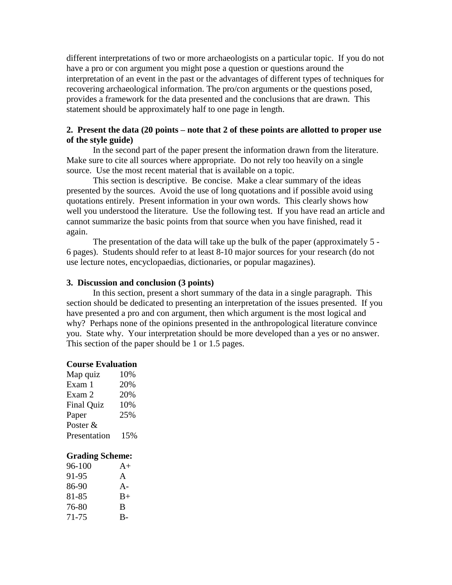different interpretations of two or more archaeologists on a particular topic. If you do not have a pro or con argument you might pose a question or questions around the interpretation of an event in the past or the advantages of different types of techniques for recovering archaeological information. The pro/con arguments or the questions posed, provides a framework for the data presented and the conclusions that are drawn. This statement should be approximately half to one page in length.

### **2. Present the data (20 points – note that 2 of these points are allotted to proper use of the style guide)**

In the second part of the paper present the information drawn from the literature. Make sure to cite all sources where appropriate. Do not rely too heavily on a single source. Use the most recent material that is available on a topic.

This section is descriptive. Be concise. Make a clear summary of the ideas presented by the sources. Avoid the use of long quotations and if possible avoid using quotations entirely. Present information in your own words. This clearly shows how well you understood the literature. Use the following test. If you have read an article and cannot summarize the basic points from that source when you have finished, read it again.

The presentation of the data will take up the bulk of the paper (approximately 5 - 6 pages). Students should refer to at least 8-10 major sources for your research (do not use lecture notes, encyclopaedias, dictionaries, or popular magazines).

#### **3. Discussion and conclusion (3 points)**

In this section, present a short summary of the data in a single paragraph. This section should be dedicated to presenting an interpretation of the issues presented. If you have presented a pro and con argument, then which argument is the most logical and why? Perhaps none of the opinions presented in the anthropological literature convince you. State why. Your interpretation should be more developed than a yes or no answer. This section of the paper should be 1 or 1.5 pages.

#### **Course Evaluation**

| Map quiz          | 10% |
|-------------------|-----|
| Exam 1            | 20% |
| Exam 2            | 20% |
| <b>Final Quiz</b> | 10% |
| Paper             | 25% |
| Poster $&$        |     |
| Presentation      | 15% |
|                   |     |

#### **Grading Scheme:**

| $96-100$ | $A+$  |
|----------|-------|
| 91-95    | A     |
| 86-90    | $A -$ |
| 81-85    | $B+$  |
| 76-80    | B     |
| 71-75    | $B -$ |